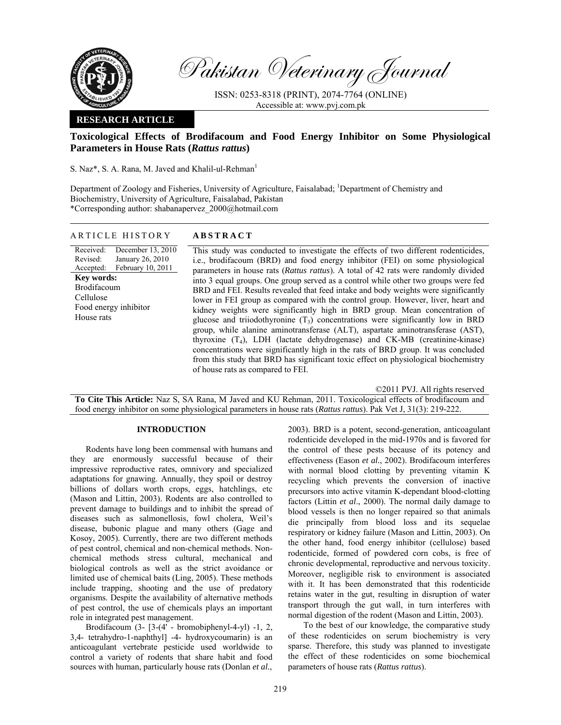

Pakistan Veterinary Journal

ISSN: 0253-8318 (PRINT), 2074-7764 (ONLINE) Accessible at: www.pvj.com.pk

## **RESEARCH ARTICLE**

# **Toxicological Effects of Brodifacoum and Food Energy Inhibitor on Some Physiological Parameters in House Rats (***Rattus rattus***)**

S. Naz<sup>\*</sup>, S. A. Rana, M. Javed and Khalil-ul-Rehman<sup>1</sup>

Department of Zoology and Fisheries, University of Agriculture, Faisalabad; <sup>1</sup>Department of Chemistry and Biochemistry, University of Agriculture, Faisalabad, Pakistan \*Corresponding author: shabanapervez\_2000@hotmail.com

### ARTICLE HISTORY **ABSTRACT**

Received: Revised: Accepted: December 13, 2010 January 26, 2010 February 10, 2011 **Key words:**  Brodifacoum Cellulose Food energy inhibitor House rats

This study was conducted to investigate the effects of two different rodenticides, i.e., brodifacoum (BRD) and food energy inhibitor (FEI) on some physiological parameters in house rats (*Rattus rattus*). A total of 42 rats were randomly divided into 3 equal groups. One group served as a control while other two groups were fed BRD and FEI. Results revealed that feed intake and body weights were significantly lower in FEI group as compared with the control group. However, liver, heart and kidney weights were significantly high in BRD group. Mean concentration of glucose and triiodothyronine  $(T_3)$  concentrations were significantly low in BRD group, while alanine aminotransferase (ALT), aspartate aminotransferase (AST), thyroxine  $(T_4)$ , LDH (lactate dehydrogenase) and CK-MB (creatinine-kinase) concentrations were significantly high in the rats of BRD group. It was concluded from this study that BRD has significant toxic effect on physiological biochemistry of house rats as compared to FEI.

©2011 PVJ. All rights reserved

**To Cite This Article:** Naz S, SA Rana, M Javed and KU Rehman, 2011. Toxicological effects of brodifacoum and food energy inhibitor on some physiological parameters in house rats (*Rattus rattus*). Pak Vet J, 31(3): 219-222.

### **INTRODUCTION**

Rodents have long been commensal with humans and they are enormously successful because of their impressive reproductive rates, omnivory and specialized adaptations for gnawing. Annually, they spoil or destroy billions of dollars worth crops, eggs, hatchlings, etc (Mason and Littin, 2003). Rodents are also controlled to prevent damage to buildings and to inhibit the spread of diseases such as salmonellosis, fowl cholera, Weil's disease, bubonic plague and many others (Gage and Kosoy, 2005). Currently, there are two different methods of pest control, chemical and non-chemical methods. Nonchemical methods stress cultural, mechanical and biological controls as well as the strict avoidance or limited use of chemical baits (Ling, 2005). These methods include trapping, shooting and the use of predatory organisms. Despite the availability of alternative methods of pest control, the use of chemicals plays an important role in integrated pest management.

Brodifacoum (3- [3-(4' - bromobiphenyl-4-yl) -1, 2, 3,4- tetrahydro-1-naphthyl] -4- hydroxycoumarin) is an anticoagulant vertebrate pesticide used worldwide to control a variety of rodents that share habit and food sources with human, particularly house rats (Donlan *et al.*,

2003). BRD is a potent, second-generation, anticoagulant rodenticide developed in the mid-1970s and is favored for the control of these pests because of its potency and effectiveness (Eason *et al.*, 2002). Brodifacoum interferes with normal blood clotting by preventing vitamin K recycling which prevents the conversion of inactive precursors into active vitamin K-dependant blood-clotting factors (Littin *et al*., 2000). The normal daily damage to blood vessels is then no longer repaired so that animals die principally from blood loss and its sequelae respiratory or kidney failure (Mason and Littin, 2003). On the other hand, food energy inhibitor (cellulose) based rodenticide, formed of powdered corn cobs, is free of chronic developmental, reproductive and nervous toxicity. Moreover, negligible risk to environment is associated with it. It has been demonstrated that this rodenticide retains water in the gut, resulting in disruption of water transport through the gut wall, in turn interferes with normal digestion of the rodent (Mason and Littin, 2003).

To the best of our knowledge, the comparative study of these rodenticides on serum biochemistry is very sparse. Therefore, this study was planned to investigate the effect of these rodenticides on some biochemical parameters of house rats (*Rattus rattus*).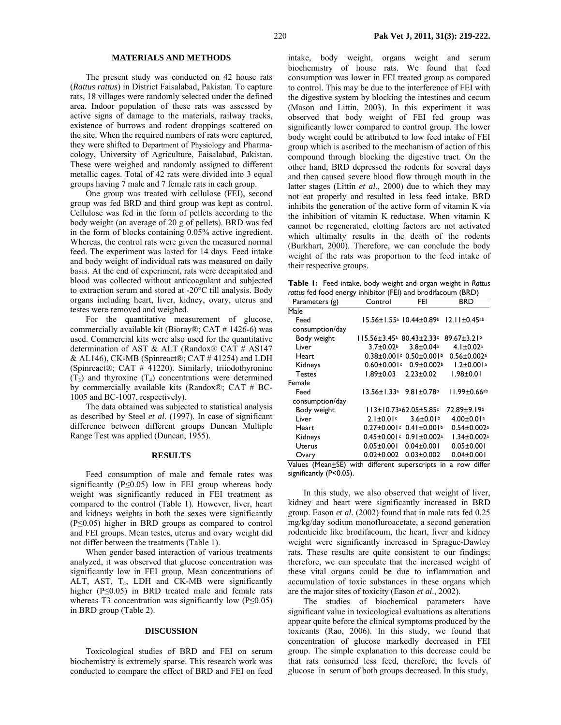#### **MATERIALS AND METHODS**

The present study was conducted on 42 house rats (*Rattus rattus*) in District Faisalabad, Pakistan. To capture rats, 18 villages were randomly selected under the defined area. Indoor population of these rats was assessed by active signs of damage to the materials, railway tracks, existence of burrows and rodent droppings scattered on the site. When the required numbers of rats were captured, they were shifted to Department of Physiology and Pharmacology, University of Agriculture, Faisalabad, Pakistan. These were weighed and randomly assigned to different metallic cages. Total of 42 rats were divided into 3 equal groups having 7 male and 7 female rats in each group.

One group was treated with cellulose (FEI), second group was fed BRD and third group was kept as control. Cellulose was fed in the form of pellets according to the body weight (an average of 20 g of pellets). BRD was fed in the form of blocks containing 0.05% active ingredient. Whereas, the control rats were given the measured normal feed. The experiment was lasted for 14 days. Feed intake and body weight of individual rats was measured on daily basis. At the end of experiment, rats were decapitated and blood was collected without anticoagulant and subjected to extraction serum and stored at -20°C till analysis. Body organs including heart, liver, kidney, ovary, uterus and testes were removed and weighed.

For the quantitative measurement of glucose, commercially available kit (Bioray®; CAT # 1426-6) was used. Commercial kits were also used for the quantitative determination of AST & ALT (Randox® CAT # AS147 & AL146), CK-MB (Spinreact®; CAT  $\#$  41254) and LDH (Spinreact®; CAT # 41220). Similarly, triiodothyronine  $(T_3)$  and thyroxine  $(T_4)$  concentrations were determined by commercially available kits (Randox®; CAT # BC-1005 and BC-1007, respectively).

The data obtained was subjected to statistical analysis as described by Steel *et al*. (1997). In case of significant difference between different groups Duncan Multiple Range Test was applied (Duncan, 1955).

### **RESULTS**

Feed consumption of male and female rates was significantly ( $P \leq 0.05$ ) low in FEI group whereas body weight was significantly reduced in FEI treatment as compared to the control (Table 1). However, liver, heart and kidneys weights in both the sexes were significantly (P≤0.05) higher in BRD groups as compared to control and FEI groups. Mean testes, uterus and ovary weight did not differ between the treatments (Table 1).

When gender based interaction of various treatments analyzed, it was observed that glucose concentration was significantly low in FEI group. Mean concentrations of ALT, AST, T<sub>4</sub>, LDH and CK-MB were significantly higher (P≤0.05) in BRD treated male and female rats whereas T3 concentration was significantly low  $(P \le 0.05)$ in BRD group (Table 2).

#### **DISCUSSION**

Toxicological studies of BRD and FEI on serum biochemistry is extremely sparse. This research work was conducted to compare the effect of BRD and FEI on feed intake, body weight, organs weight and serum biochemistry of house rats. We found that feed consumption was lower in FEI treated group as compared to control. This may be due to the interference of FEI with the digestive system by blocking the intestines and cecum (Mason and Littin, 2003). In this experiment it was observed that body weight of FEI fed group was significantly lower compared to control group. The lower body weight could be attributed to low feed intake of FEI group which is ascribed to the mechanism of action of this compound through blocking the digestive tract. On the other hand, BRD depressed the rodents for several days and then caused severe blood flow through mouth in the latter stages (Littin *et al*., 2000) due to which they may not eat properly and resulted in less feed intake. BRD inhibits the generation of the active form of vitamin K via the inhibition of vitamin K reductase. When vitamin K cannot be regenerated, clotting factors are not activated which ultimalty results in the death of the rodents (Burkhart, 2000). Therefore, we can conclude the body weight of the rats was proportion to the feed intake of their respective groups.

**Table 1:** Feed intake, body weight and organ weight in *Rattus rattus* fed food energy inhibitor (FEI) and brodifacoum (BRD)

| Parameters (g)  | Control                       | FEI                                             | BRD                            |  |
|-----------------|-------------------------------|-------------------------------------------------|--------------------------------|--|
| Male            |                               |                                                 |                                |  |
| Feed            |                               | 15.56±1.55 <sup>a</sup> 10.44±0.89 <sup>b</sup> | $12.11 \pm 0.45$ <sup>ab</sup> |  |
| consumption/day |                               |                                                 |                                |  |
| Body weight     | 115.56±3.45ª                  | $80.43 \pm 2.33$ c                              | 89.67±3.21b                    |  |
| Liver           | $3.7 \pm 0.02$                | $3.8 \pm 0.04$                                  | $4.1 \pm 0.02a$                |  |
| Heart           |                               | $0.38\pm0.001$ c $0.50\pm0.001$ b               | $0.56 \pm 0.002$ <sup>a</sup>  |  |
| Kidneys         | $0.60 \pm 0.001$ c            | $0.9 \pm 0.002$                                 | $1.2 \pm 0.001$ <sup>a</sup>   |  |
| <b>Testes</b>   | $1.89 \pm 0.03$               | $2.23 \pm 0.02$                                 | $1.98 \pm 0.01$                |  |
| Female          |                               |                                                 |                                |  |
| Feed            | $13.56 \pm 1.33$ <sup>a</sup> | $9.81 \pm 0.78$                                 | 11.99±0.66ab                   |  |
| consumption/day |                               |                                                 |                                |  |
| Body weight     |                               | $113 \pm 10.73$ a62.05 $\pm$ 5.85 $\circ$       | 72.89±9.19b                    |  |
| Liver           | $2.1 \pm 0.01$ c              | $3.6 \pm 0.01$                                  | $4.00 \pm 0.01$ <sup>a</sup>   |  |
| Heart           |                               | $0.27 \pm 0.001$ c $0.41 \pm 0.001$ b           | $0.54 \pm 0.002$ <sup>a</sup>  |  |
| Kidneys         | $0.45 \pm 0.001$ c            | $0.91 \pm 0.002$ <sup>a</sup>                   | $1.34 \pm 0.002$ <sup>a</sup>  |  |
| Uterus          | $0.05 \pm 0.001$              | $0.04 \pm 0.001$                                | $0.05 \pm 0.001$               |  |
| Ovary           | $0.02 \pm 0.002$              | $0.03 \pm 0.002$                                | $0.04 \pm 0.001$               |  |

Values (Mean+SE) with different superscripts in a row differ significantly (P<0.05).

In this study, we also observed that weight of liver, kidney and heart were significantly increased in BRD group. Eason *et al.* (2002) found that in male rats fed 0.25 mg/kg/day sodium monofluroacetate, a second generation rodenticide like brodifacoum, the heart, liver and kidney weight were significantly increased in Sprague-Dawley rats. These results are quite consistent to our findings; therefore, we can speculate that the increased weight of these vital organs could be due to inflammation and accumulation of toxic substances in these organs which are the major sites of toxicity (Eason *et al.*, 2002).

The studies of biochemical parameters have significant value in toxicological evaluations as alterations appear quite before the clinical symptoms produced by the toxicants (Rao, 2006). In this study, we found that concentration of glucose markedly decreased in FEI group. The simple explanation to this decrease could be that rats consumed less feed, therefore, the levels of glucose in serum of both groups decreased. In this study,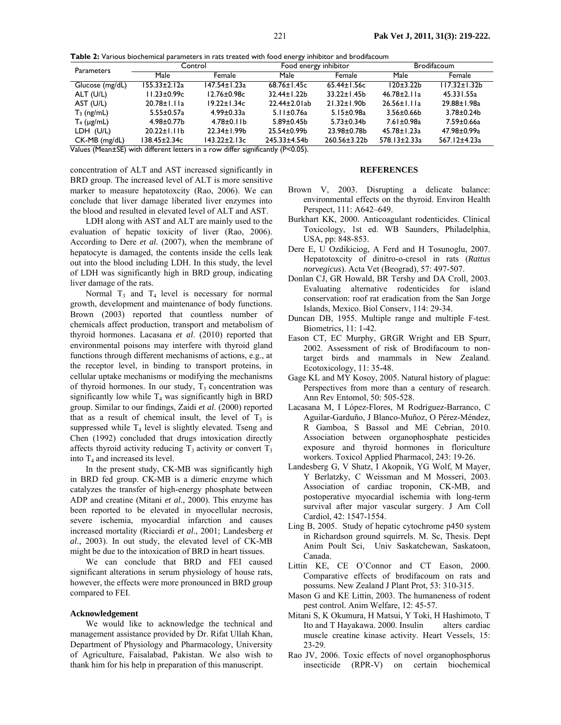**Table 2:** Various biochemical parameters in rats treated with food energy inhibitor and brodifacoum

| <b>Parameters</b>   | Control            |                    | Food energy inhibitor |                    | <b>Brodifacoum</b>    |                    |
|---------------------|--------------------|--------------------|-----------------------|--------------------|-----------------------|--------------------|
|                     | Male               | Female             | Male                  | Female             | Male                  | Female             |
| Glucose (mg/dL)     | $155.33 \pm 2.12a$ | $147.54 \pm 1.23a$ | $68.76 \pm 1.45c$     | $65.44 \pm 1.56c$  | 120±3.22 <sub>b</sub> | $117.32 \pm 1.32b$ |
| ALT (U/L)           | $11.23 \pm 0.99c$  | $12.76 \pm 0.98c$  | $32.44 \pm 1.22$ b    | $33.22 \pm 1.45$ b | $46.78 \pm 2.11a$     | 45.331.55a         |
| AST (U/L)           | $20.78 \pm 1.11a$  | $19.22 \pm 1.34c$  | $22.44 \pm 2.01$ ab   | $21.32 \pm 1.90$   | $26.56 \pm 1.11a$     | 29.88±1.98a        |
| $T_3$ (ng/mL)       | $5.55 \pm 0.57a$   | $4.99 \pm 0.33$ a  | $5.11 \pm 0.76a$      | $5.15 \pm 0.98a$   | $3.56 \pm 0.66$       | $3.78 \pm 0.24$ b  |
| $T_4$ ( $\mu$ g/mL) | $4.98 \pm 0.77$ b  | $4.78 \pm 0.11$    | $5.89 \pm 0.45$ b     | $5.73 \pm 0.34$ b  | $7.61 \pm 0.98$ a     | $7.59 \pm 0.66a$   |
| LDH (U/L)           | $20.22 \pm 1.11$   | $22.34 \pm 1.99$ b | $25.54 \pm 0.99$ b    | 23.98±0.78b        | $45.78 \pm 1.23a$     | 47.98±0.99a        |
| $CK-MB$ (mg/dL)     | 138.45±2.34c       | $143.22 \pm 2.13c$ | 245.33±4.54b          | 260.56±3.22b       | 578.13±2.33a          | 567.12±4.23a       |

Values (Mean±SE) with different letters in a row differ significantly (P<0.05).

concentration of ALT and AST increased significantly in BRD group. The increased level of ALT is more sensitive marker to measure hepatotoxcity (Rao, 2006). We can conclude that liver damage liberated liver enzymes into the blood and resulted in elevated level of ALT and AST.

LDH along with AST and ALT are mainly used to the evaluation of hepatic toxicity of liver (Rao, 2006). According to Dere *et al.* (2007), when the membrane of hepatocyte is damaged, the contents inside the cells leak out into the blood including LDH. In this study, the level of LDH was significantly high in BRD group, indicating liver damage of the rats.

Normal  $T_3$  and  $T_4$  level is necessary for normal growth, development and maintenance of body functions. Brown (2003) reported that countless number of chemicals affect production, transport and metabolism of thyroid hormones. Lacasana *et al*. (2010) reported that environmental poisons may interfere with thyroid gland functions through different mechanisms of actions, e.g., at the receptor level, in binding to transport proteins, in cellular uptake mechanisms or modifying the mechanisms of thyroid hormones. In our study,  $T_3$  concentration was significantly low while  $T_4$  was significantly high in BRD group. Similar to our findings, Zaidi *et al*. (2000) reported that as a result of chemical insult, the level of  $T_3$  is suppressed while  $T_4$  level is slightly elevated. Tseng and Chen (1992) concluded that drugs intoxication directly affects thyroid activity reducing  $T_3$  activity or convert  $T_3$ into  $T_4$  and increased its level.

In the present study, CK-MB was significantly high in BRD fed group. CK-MB is a dimeric enzyme which catalyzes the transfer of high-energy phosphate between ADP and creatine (Mitani *et al*., 2000). This enzyme has been reported to be elevated in myocellular necrosis, severe ischemia, myocardial infarction and causes increased mortality (Ricciardi *et al*., 2001; Landesberg *et al*., 2003). In out study, the elevated level of CK-MB might be due to the intoxication of BRD in heart tissues.

We can conclude that BRD and FEI caused significant alterations in serum physiology of house rats, however, the effects were more pronounced in BRD group compared to FEI.

### **Acknowledgement**

We would like to acknowledge the technical and management assistance provided by Dr. Rifat Ullah Khan, Department of Physiology and Pharmacology, University of Agriculture, Faisalabad, Pakistan. We also wish to thank him for his help in preparation of this manuscript.

# **REFERENCES**

- Brown V, 2003. Disrupting a delicate balance: environmental effects on the thyroid. Environ Health Perspect, 111: A642–649.
- Burkhart KK, 2000. Anticoagulant rodenticides. Clinical Toxicology, 1st ed. WB Saunders, Philadelphia, USA, pp: 848-853.
- Dere E, U Ozdikiciog, A Ferd and H Tosunoglu, 2007. Hepatotoxcity of dinitro-o-cresol in rats (*Rattus norvegicus*). Acta Vet (Beograd), 57: 497-507.
- Donlan CJ, GR Howald, BR Tershy and DA Croll, 2003. Evaluating alternative rodenticides for island conservation: roof rat eradication from the San Jorge Islands, Mexico. Biol Conserv, 114: 29-34.
- Duncan DB, 1955. Multiple range and multiple F-test. Biometrics, 11: 1-42.
- Eason CT, EC Murphy, GRGR Wright and EB Spurr, 2002. Assessment of risk of Brodifacoum to nontarget birds and mammals in New Zealand. Ecotoxicology, 11: 35-48.
- Gage KL and MY Kosoy, 2005. Natural history of plague: Perspectives from more than a century of research. Ann Rev Entomol, 50: 505-528.
- Lacasana M, I López-Flores, M Rodríguez-Barranco, C Aguilar-Garduño, J Blanco-Muñoz, O Pérez-Méndez, R Gamboa, S Bassol and ME Cebrian, 2010. Association between organophosphate pesticides exposure and thyroid hormones in floriculture workers. Toxicol Applied Pharmacol, 243: 19-26.
- Landesberg G, V Shatz, I Akopnik, YG Wolf, M Mayer, Y Berlatzky, C Weissman and M Mosseri, 2003. Association of cardiac troponin, CK-MB, and postoperative myocardial ischemia with long-term survival after major vascular surgery. J Am Coll Cardiol, 42: 1547-1554.
- Ling B, 2005. Study of hepatic cytochrome p450 system in Richardson ground squirrels. M. Sc, Thesis. Dept Anim Poult Sci, Univ Saskatchewan, Saskatoon, Canada.
- Littin KE, CE O'Connor and CT Eason, 2000. Comparative effects of brodifacoum on rats and possums. New Zealand J Plant Prot, 53: 310-315.
- Mason G and KE Littin, 2003. The humaneness of rodent pest control. Anim Welfare, 12: 45-57.
- Mitani S, K Okumura, H Matsui, Y Toki, H Hashimoto, T Ito and T Hayakawa. 2000. Insulin alters cardiac muscle creatine kinase activity. Heart Vessels, 15: 23-29.
- Rao JV, 2006. Toxic effects of novel organophosphorus insecticide (RPR-V) on certain biochemical